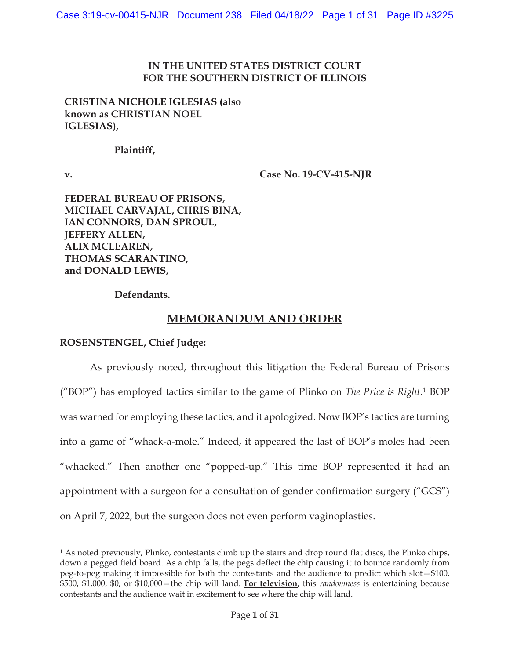### **IN THE UNITED STATES DISTRICT COURT FOR THE SOUTHERN DISTRICT OF ILLINOIS**

**CRISTINA NICHOLE IGLESIAS (also known as CHRISTIAN NOEL IGLESIAS),** 

 **Plaintiff,** 

**v.** 

**Case No. 19-CV-415-NJR** 

**FEDERAL BUREAU OF PRISONS, MICHAEL CARVAJAL, CHRIS BINA, IAN CONNORS, DAN SPROUL, JEFFERY ALLEN, ALIX MCLEAREN, THOMAS SCARANTINO, and DONALD LEWIS,** 

 **Defendants.** 

# **MEMORANDUM AND ORDER**

### **ROSENSTENGEL, Chief Judge:**

As previously noted, throughout this litigation the Federal Bureau of Prisons ("BOP") has employed tactics similar to the game of Plinko on *The Price is Right*.1 BOP was warned for employing these tactics, and it apologized. Now BOP's tactics are turning into a game of "whack-a-mole." Indeed, it appeared the last of BOP's moles had been "whacked." Then another one "popped-up." This time BOP represented it had an appointment with a surgeon for a consultation of gender confirmation surgery ("GCS") on April 7, 2022, but the surgeon does not even perform vaginoplasties.

<sup>1</sup> As noted previously, Plinko, contestants climb up the stairs and drop round flat discs, the Plinko chips, down a pegged field board. As a chip falls, the pegs deflect the chip causing it to bounce randomly from peg-to-peg making it impossible for both the contestants and the audience to predict which slot—\$100, \$500, \$1,000, \$0, or \$10,000—the chip will land. **For television**, this *randomness* is entertaining because contestants and the audience wait in excitement to see where the chip will land.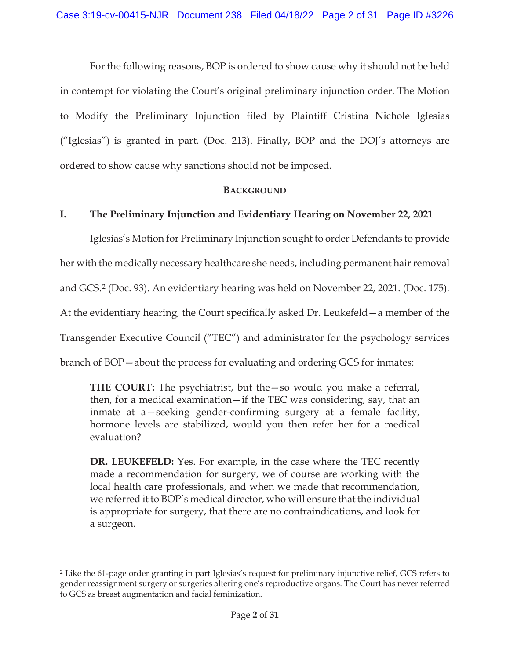For the following reasons, BOP is ordered to show cause why it should not be held in contempt for violating the Court's original preliminary injunction order. The Motion to Modify the Preliminary Injunction filed by Plaintiff Cristina Nichole Iglesias ("Iglesias") is granted in part. (Doc. 213). Finally, BOP and the DOJ's attorneys are ordered to show cause why sanctions should not be imposed.

#### **BACKGROUND**

#### **I. The Preliminary Injunction and Evidentiary Hearing on November 22, 2021**

Iglesias's Motion for Preliminary Injunction sought to order Defendants to provide her with the medically necessary healthcare she needs, including permanent hair removal and GCS.2 (Doc. 93). An evidentiary hearing was held on November 22, 2021. (Doc. 175). At the evidentiary hearing, the Court specifically asked Dr. Leukefeld—a member of the Transgender Executive Council ("TEC") and administrator for the psychology services branch of BOP—about the process for evaluating and ordering GCS for inmates:

**THE COURT:** The psychiatrist, but the—so would you make a referral, then, for a medical examination—if the TEC was considering, say, that an inmate at a—seeking gender-confirming surgery at a female facility, hormone levels are stabilized, would you then refer her for a medical evaluation?

**DR. LEUKEFELD:** Yes. For example, in the case where the TEC recently made a recommendation for surgery, we of course are working with the local health care professionals, and when we made that recommendation, we referred it to BOP's medical director, who will ensure that the individual is appropriate for surgery, that there are no contraindications, and look for a surgeon.

<sup>2</sup> Like the 61-page order granting in part Iglesias's request for preliminary injunctive relief, GCS refers to gender reassignment surgery or surgeries altering one's reproductive organs. The Court has never referred to GCS as breast augmentation and facial feminization.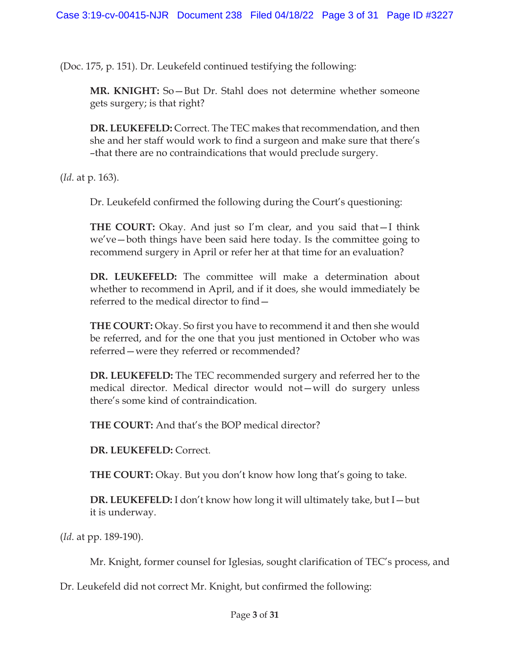(Doc. 175, p. 151). Dr. Leukefeld continued testifying the following:

**MR. KNIGHT:** So—But Dr. Stahl does not determine whether someone gets surgery; is that right?

**DR. LEUKEFELD:** Correct. The TEC makes that recommendation, and then she and her staff would work to find a surgeon and make sure that there's –that there are no contraindications that would preclude surgery.

(*Id*. at p. 163).

Dr. Leukefeld confirmed the following during the Court's questioning:

**THE COURT:** Okay. And just so I'm clear, and you said that—I think we've—both things have been said here today. Is the committee going to recommend surgery in April or refer her at that time for an evaluation?

**DR. LEUKEFELD:** The committee will make a determination about whether to recommend in April, and if it does, she would immediately be referred to the medical director to find—

**THE COURT:** Okay. So first you have to recommend it and then she would be referred, and for the one that you just mentioned in October who was referred—were they referred or recommended?

**DR. LEUKEFELD:** The TEC recommended surgery and referred her to the medical director. Medical director would not—will do surgery unless there's some kind of contraindication.

**THE COURT:** And that's the BOP medical director?

**DR. LEUKEFELD:** Correct.

**THE COURT:** Okay. But you don't know how long that's going to take.

**DR. LEUKEFELD:** I don't know how long it will ultimately take, but I—but it is underway.

(*Id*. at pp. 189-190).

Mr. Knight, former counsel for Iglesias, sought clarification of TEC's process, and

Dr. Leukefeld did not correct Mr. Knight, but confirmed the following: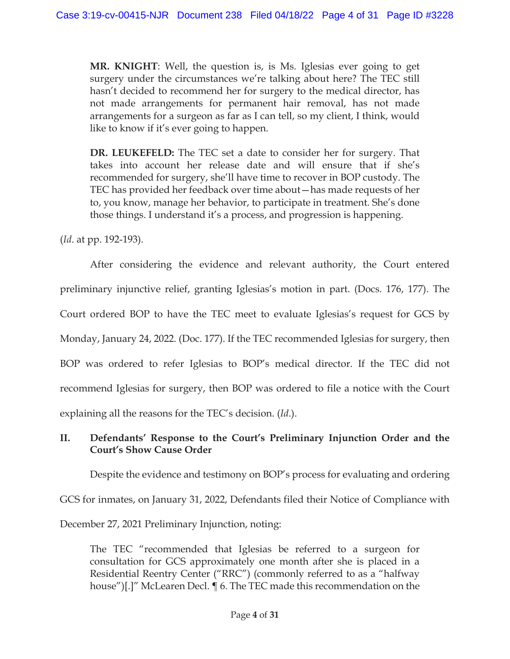**MR. KNIGHT**: Well, the question is, is Ms. Iglesias ever going to get surgery under the circumstances we're talking about here? The TEC still hasn't decided to recommend her for surgery to the medical director, has not made arrangements for permanent hair removal, has not made arrangements for a surgeon as far as I can tell, so my client, I think, would like to know if it's ever going to happen.

**DR. LEUKEFELD:** The TEC set a date to consider her for surgery. That takes into account her release date and will ensure that if she's recommended for surgery, she'll have time to recover in BOP custody. The TEC has provided her feedback over time about—has made requests of her to, you know, manage her behavior, to participate in treatment. She's done those things. I understand it's a process, and progression is happening.

(*Id*. at pp. 192-193).

After considering the evidence and relevant authority, the Court entered preliminary injunctive relief, granting Iglesias's motion in part. (Docs. 176, 177). The Court ordered BOP to have the TEC meet to evaluate Iglesias's request for GCS by Monday, January 24, 2022. (Doc. 177). If the TEC recommended Iglesias for surgery, then BOP was ordered to refer Iglesias to BOP's medical director. If the TEC did not recommend Iglesias for surgery, then BOP was ordered to file a notice with the Court explaining all the reasons for the TEC's decision. (*Id*.).

## **II. Defendants' Response to the Court's Preliminary Injunction Order and the Court's Show Cause Order**

Despite the evidence and testimony on BOP's process for evaluating and ordering GCS for inmates, on January 31, 2022, Defendants filed their Notice of Compliance with December 27, 2021 Preliminary Injunction, noting:

The TEC "recommended that Iglesias be referred to a surgeon for consultation for GCS approximately one month after she is placed in a Residential Reentry Center ("RRC") (commonly referred to as a "halfway house")[.]" McLearen Decl. ¶ 6. The TEC made this recommendation on the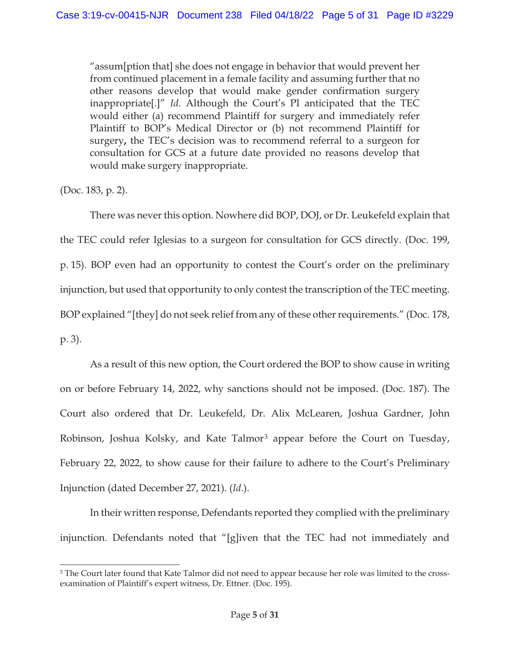"assum[ption that] she does not engage in behavior that would prevent her from continued placement in a female facility and assuming further that no other reasons develop that would make gender confirmation surgery inappropriate[.]" *Id*. Although the Court's PI anticipated that the TEC would either (a) recommend Plaintiff for surgery and immediately refer Plaintiff to BOP's Medical Director or (b) not recommend Plaintiff for surgery**,** the TEC's decision was to recommend referral to a surgeon for consultation for GCS at a future date provided no reasons develop that would make surgery inappropriate.

(Doc. 183, p. 2).

There was never this option. Nowhere did BOP, DOJ, or Dr. Leukefeld explain that the TEC could refer Iglesias to a surgeon for consultation for GCS directly. (Doc. 199, p. 15). BOP even had an opportunity to contest the Court's order on the preliminary injunction, but used that opportunity to only contest the transcription of the TEC meeting. BOP explained "[they] do not seek relief from any of these other requirements." (Doc. 178, p. 3).

As a result of this new option, the Court ordered the BOP to show cause in writing on or before February 14, 2022, why sanctions should not be imposed. (Doc. 187). The Court also ordered that Dr. Leukefeld, Dr. Alix McLearen, Joshua Gardner, John Robinson, Joshua Kolsky, and Kate Talmor<sup>3</sup> appear before the Court on Tuesday, February 22, 2022, to show cause for their failure to adhere to the Court's Preliminary Injunction (dated December 27, 2021). (*Id*.).

In their written response, Defendants reported they complied with the preliminary injunction. Defendants noted that "[g]iven that the TEC had not immediately and

<sup>&</sup>lt;sup>3</sup> The Court later found that Kate Talmor did not need to appear because her role was limited to the crossexamination of Plaintiff's expert witness, Dr. Ettner. (Doc. 195).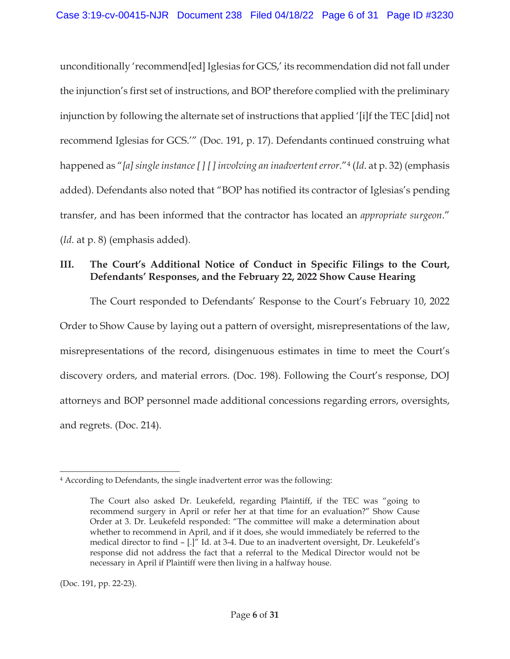unconditionally 'recommend[ed] Iglesias for GCS,' its recommendation did not fall under the injunction's first set of instructions, and BOP therefore complied with the preliminary injunction by following the alternate set of instructions that applied '[i]f the TEC [did] not recommend Iglesias for GCS.'" (Doc. 191, p. 17). Defendants continued construing what happened as "*[a] single instance [ ] [ ] involving an inadvertent error*."4 (*Id*. at p. 32) (emphasis added). Defendants also noted that "BOP has notified its contractor of Iglesias's pending transfer, and has been informed that the contractor has located an *appropriate surgeon*." (*Id*. at p. 8) (emphasis added).

## **III. The Court's Additional Notice of Conduct in Specific Filings to the Court, Defendants' Responses, and the February 22, 2022 Show Cause Hearing**

The Court responded to Defendants' Response to the Court's February 10, 2022 Order to Show Cause by laying out a pattern of oversight, misrepresentations of the law, misrepresentations of the record, disingenuous estimates in time to meet the Court's discovery orders, and material errors. (Doc. 198). Following the Court's response, DOJ attorneys and BOP personnel made additional concessions regarding errors, oversights, and regrets. (Doc. 214).

(Doc. 191, pp. 22-23).

<sup>4</sup> According to Defendants, the single inadvertent error was the following:

The Court also asked Dr. Leukefeld, regarding Plaintiff, if the TEC was "going to recommend surgery in April or refer her at that time for an evaluation?" Show Cause Order at 3. Dr. Leukefeld responded: "The committee will make a determination about whether to recommend in April, and if it does, she would immediately be referred to the medical director to find – [.]" Id. at 3-4. Due to an inadvertent oversight, Dr. Leukefeld's response did not address the fact that a referral to the Medical Director would not be necessary in April if Plaintiff were then living in a halfway house.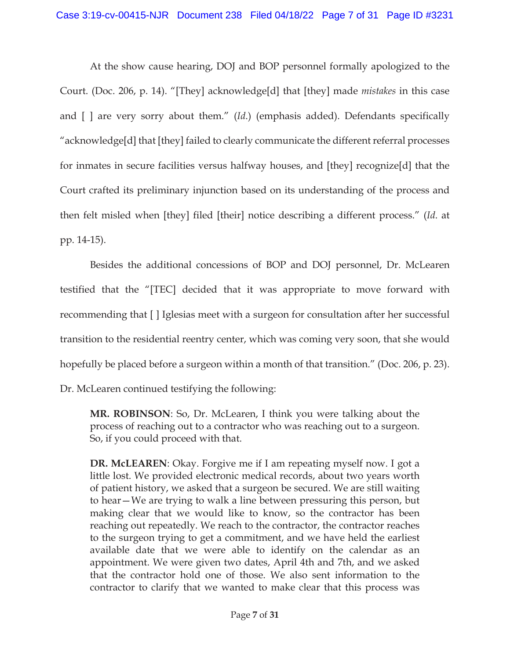At the show cause hearing, DOJ and BOP personnel formally apologized to the Court. (Doc. 206, p. 14). "[They] acknowledge[d] that [they] made *mistakes* in this case and [ ] are very sorry about them." (*Id*.) (emphasis added). Defendants specifically "acknowledge[d] that [they] failed to clearly communicate the different referral processes for inmates in secure facilities versus halfway houses, and [they] recognize[d] that the Court crafted its preliminary injunction based on its understanding of the process and then felt misled when [they] filed [their] notice describing a different process." (*Id*. at pp. 14-15).

Besides the additional concessions of BOP and DOJ personnel, Dr. McLearen testified that the "[TEC] decided that it was appropriate to move forward with recommending that [ ] Iglesias meet with a surgeon for consultation after her successful transition to the residential reentry center, which was coming very soon, that she would hopefully be placed before a surgeon within a month of that transition." (Doc. 206, p. 23). Dr. McLearen continued testifying the following:

**MR. ROBINSON**: So, Dr. McLearen, I think you were talking about the process of reaching out to a contractor who was reaching out to a surgeon. So, if you could proceed with that.

**DR. McLEAREN**: Okay. Forgive me if I am repeating myself now. I got a little lost. We provided electronic medical records, about two years worth of patient history, we asked that a surgeon be secured. We are still waiting to hear—We are trying to walk a line between pressuring this person, but making clear that we would like to know, so the contractor has been reaching out repeatedly. We reach to the contractor, the contractor reaches to the surgeon trying to get a commitment, and we have held the earliest available date that we were able to identify on the calendar as an appointment. We were given two dates, April 4th and 7th, and we asked that the contractor hold one of those. We also sent information to the contractor to clarify that we wanted to make clear that this process was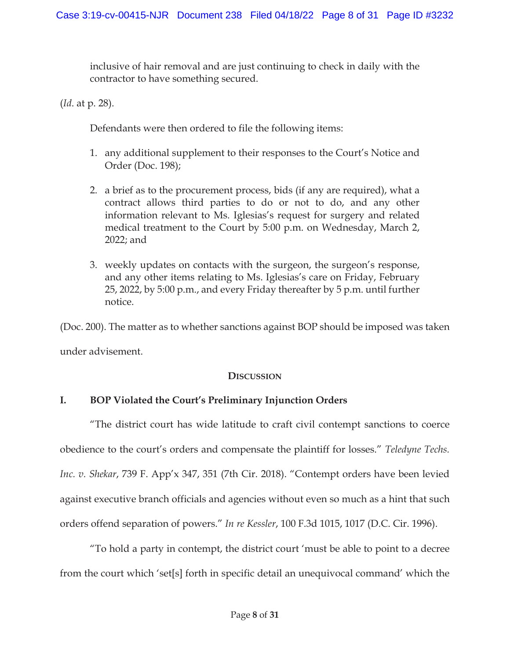inclusive of hair removal and are just continuing to check in daily with the contractor to have something secured.

(*Id*. at p. 28).

Defendants were then ordered to file the following items:

- 1. any additional supplement to their responses to the Court's Notice and Order (Doc. 198);
- 2. a brief as to the procurement process, bids (if any are required), what a contract allows third parties to do or not to do, and any other information relevant to Ms. Iglesias's request for surgery and related medical treatment to the Court by 5:00 p.m. on Wednesday, March 2, 2022; and
- 3. weekly updates on contacts with the surgeon, the surgeon's response, and any other items relating to Ms. Iglesias's care on Friday, February 25, 2022, by 5:00 p.m., and every Friday thereafter by 5 p.m. until further notice.

(Doc. 200). The matter as to whether sanctions against BOP should be imposed was taken

under advisement.

### **DISCUSSION**

## **I. BOP Violated the Court's Preliminary Injunction Orders**

"The district court has wide latitude to craft civil contempt sanctions to coerce obedience to the court's orders and compensate the plaintiff for losses." *Teledyne Techs. Inc. v. Shekar*, 739 F. App'x 347, 351 (7th Cir. 2018). "Contempt orders have been levied against executive branch officials and agencies without even so much as a hint that such orders offend separation of powers." *In re Kessler*, 100 F.3d 1015, 1017 (D.C. Cir. 1996).

"To hold a party in contempt, the district court 'must be able to point to a decree from the court which 'set[s] forth in specific detail an unequivocal command' which the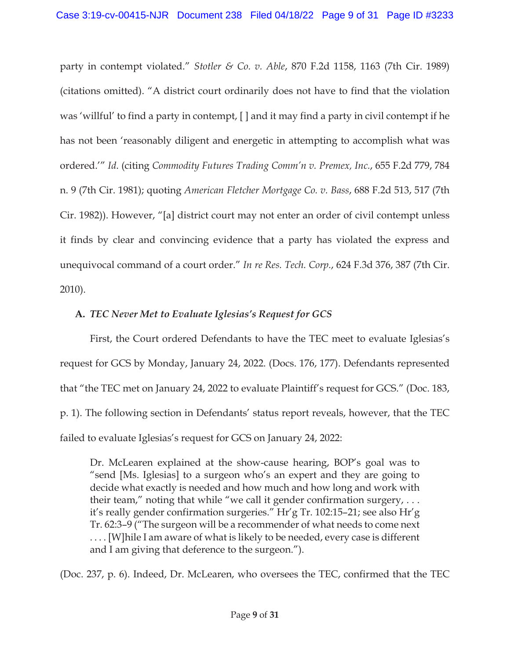party in contempt violated." *Stotler & Co. v. Able*, 870 F.2d 1158, 1163 (7th Cir. 1989) (citations omitted). "A district court ordinarily does not have to find that the violation was 'willful' to find a party in contempt, [ ] and it may find a party in civil contempt if he has not been 'reasonably diligent and energetic in attempting to accomplish what was ordered.'" *Id*. (citing *Commodity Futures Trading Comm'n v. Premex, Inc.*, 655 F.2d 779, 784 n. 9 (7th Cir. 1981); quoting *American Fletcher Mortgage Co. v. Bass*, 688 F.2d 513, 517 (7th Cir. 1982)). However, "[a] district court may not enter an order of civil contempt unless it finds by clear and convincing evidence that a party has violated the express and unequivocal command of a court order." *In re Res. Tech. Corp.*, 624 F.3d 376, 387 (7th Cir. 2010).

## **A.** *TEC Never Met to Evaluate Iglesias's Request for GCS*

First, the Court ordered Defendants to have the TEC meet to evaluate Iglesias's request for GCS by Monday, January 24, 2022. (Docs. 176, 177). Defendants represented that "the TEC met on January 24, 2022 to evaluate Plaintiff's request for GCS." (Doc. 183, p. 1). The following section in Defendants' status report reveals, however, that the TEC failed to evaluate Iglesias's request for GCS on January 24, 2022:

Dr. McLearen explained at the show-cause hearing, BOP's goal was to "send [Ms. Iglesias] to a surgeon who's an expert and they are going to decide what exactly is needed and how much and how long and work with their team," noting that while "we call it gender confirmation surgery,  $\dots$ it's really gender confirmation surgeries." Hr'g Tr. 102:15–21; see also Hr'g Tr. 62:3–9 ("The surgeon will be a recommender of what needs to come next . . . . [W]hile I am aware of what is likely to be needed, every case is different and I am giving that deference to the surgeon.").

(Doc. 237, p. 6). Indeed, Dr. McLearen, who oversees the TEC, confirmed that the TEC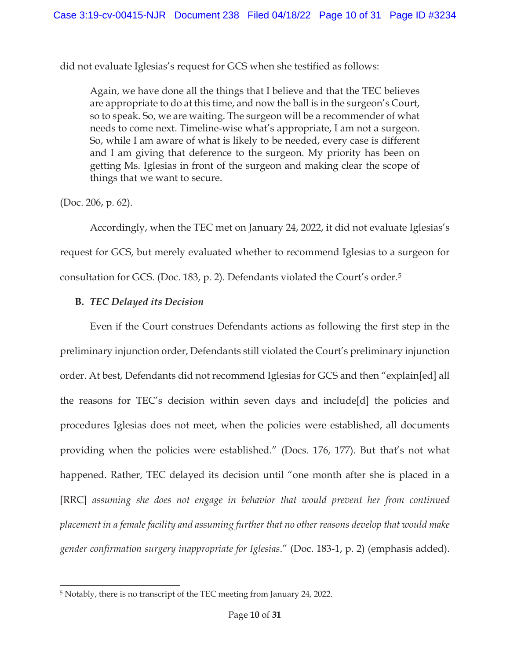did not evaluate Iglesias's request for GCS when she testified as follows:

Again, we have done all the things that I believe and that the TEC believes are appropriate to do at this time, and now the ball is in the surgeon's Court, so to speak. So, we are waiting. The surgeon will be a recommender of what needs to come next. Timeline-wise what's appropriate, I am not a surgeon. So, while I am aware of what is likely to be needed, every case is different and I am giving that deference to the surgeon. My priority has been on getting Ms. Iglesias in front of the surgeon and making clear the scope of things that we want to secure.

(Doc. 206, p. 62).

Accordingly, when the TEC met on January 24, 2022, it did not evaluate Iglesias's request for GCS, but merely evaluated whether to recommend Iglesias to a surgeon for consultation for GCS. (Doc. 183, p. 2). Defendants violated the Court's order.5

### **B.** *TEC Delayed its Decision*

Even if the Court construes Defendants actions as following the first step in the preliminary injunction order, Defendants still violated the Court's preliminary injunction order. At best, Defendants did not recommend Iglesias for GCS and then "explain[ed] all the reasons for TEC's decision within seven days and include[d] the policies and procedures Iglesias does not meet, when the policies were established, all documents providing when the policies were established." (Docs. 176, 177). But that's not what happened. Rather, TEC delayed its decision until "one month after she is placed in a [RRC] *assuming she does not engage in behavior that would prevent her from continued placement in a female facility and assuming further that no other reasons develop that would make gender confirmation surgery inappropriate for Iglesias*." (Doc. 183-1, p. 2) (emphasis added).

<sup>5</sup> Notably, there is no transcript of the TEC meeting from January 24, 2022.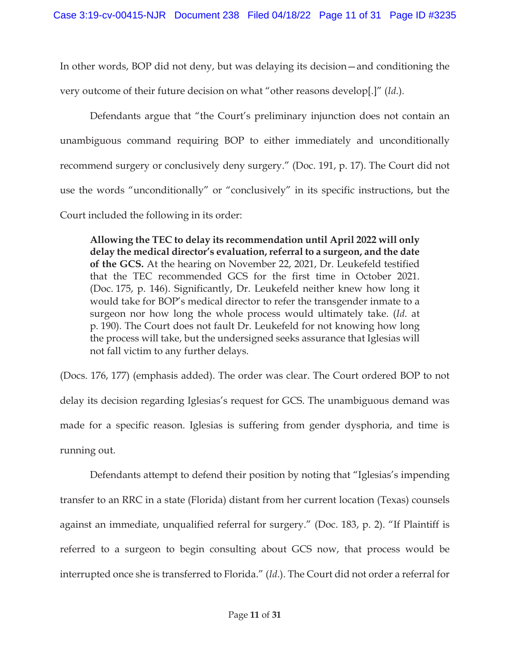In other words, BOP did not deny, but was delaying its decision—and conditioning the very outcome of their future decision on what "other reasons develop[.]" (*Id*.).

Defendants argue that "the Court's preliminary injunction does not contain an unambiguous command requiring BOP to either immediately and unconditionally recommend surgery or conclusively deny surgery." (Doc. 191, p. 17). The Court did not use the words "unconditionally" or "conclusively" in its specific instructions, but the Court included the following in its order:

**Allowing the TEC to delay its recommendation until April 2022 will only delay the medical director's evaluation, referral to a surgeon, and the date of the GCS.** At the hearing on November 22, 2021, Dr. Leukefeld testified that the TEC recommended GCS for the first time in October 2021. (Doc. 175, p. 146). Significantly, Dr. Leukefeld neither knew how long it would take for BOP's medical director to refer the transgender inmate to a surgeon nor how long the whole process would ultimately take. (*Id*. at p. 190). The Court does not fault Dr. Leukefeld for not knowing how long the process will take, but the undersigned seeks assurance that Iglesias will not fall victim to any further delays.

(Docs. 176, 177) (emphasis added). The order was clear. The Court ordered BOP to not delay its decision regarding Iglesias's request for GCS. The unambiguous demand was made for a specific reason. Iglesias is suffering from gender dysphoria, and time is running out.

 Defendants attempt to defend their position by noting that "Iglesias's impending transfer to an RRC in a state (Florida) distant from her current location (Texas) counsels against an immediate, unqualified referral for surgery." (Doc. 183, p. 2). "If Plaintiff is referred to a surgeon to begin consulting about GCS now, that process would be interrupted once she is transferred to Florida." (*Id*.). The Court did not order a referral for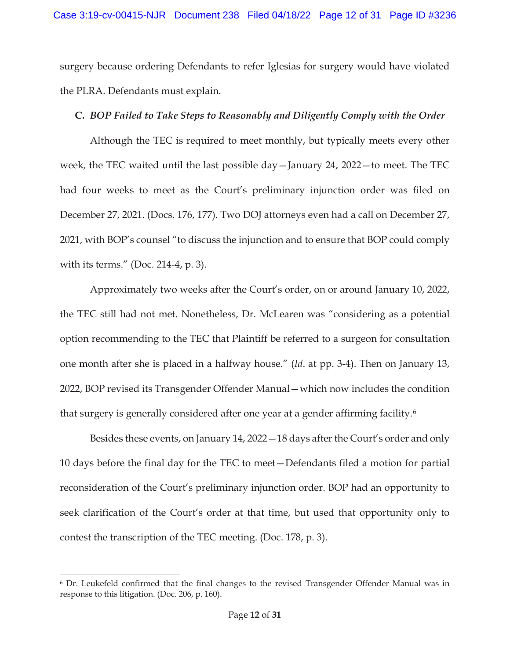surgery because ordering Defendants to refer Iglesias for surgery would have violated the PLRA. Defendants must explain.

#### **C.** *BOP Failed to Take Steps to Reasonably and Diligently Comply with the Order*

Although the TEC is required to meet monthly, but typically meets every other week, the TEC waited until the last possible day—January 24, 2022—to meet. The TEC had four weeks to meet as the Court's preliminary injunction order was filed on December 27, 2021. (Docs. 176, 177). Two DOJ attorneys even had a call on December 27, 2021, with BOP's counsel "to discuss the injunction and to ensure that BOP could comply with its terms." (Doc. 214-4, p. 3).

Approximately two weeks after the Court's order, on or around January 10, 2022, the TEC still had not met. Nonetheless, Dr. McLearen was "considering as a potential option recommending to the TEC that Plaintiff be referred to a surgeon for consultation one month after she is placed in a halfway house." (*Id*. at pp. 3-4). Then on January 13, 2022, BOP revised its Transgender Offender Manual—which now includes the condition that surgery is generally considered after one year at a gender affirming facility.6

Besides these events, on January 14, 2022—18 days after the Court's order and only 10 days before the final day for the TEC to meet—Defendants filed a motion for partial reconsideration of the Court's preliminary injunction order. BOP had an opportunity to seek clarification of the Court's order at that time, but used that opportunity only to contest the transcription of the TEC meeting. (Doc. 178, p. 3).

<sup>6</sup> Dr. Leukefeld confirmed that the final changes to the revised Transgender Offender Manual was in response to this litigation. (Doc. 206, p. 160).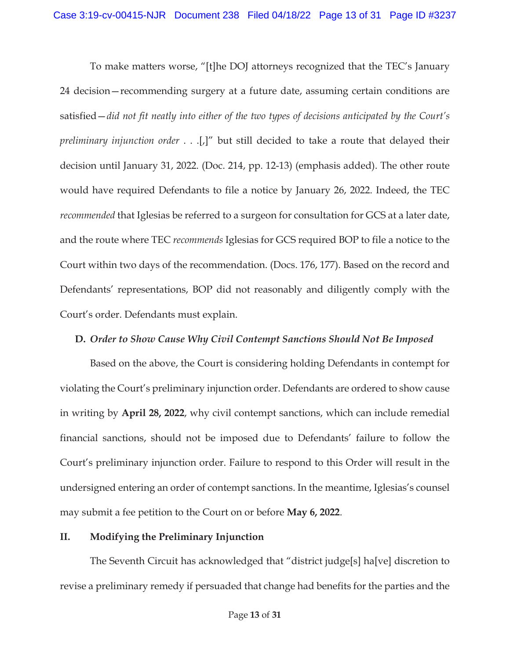To make matters worse, "[t]he DOJ attorneys recognized that the TEC's January 24 decision—recommending surgery at a future date, assuming certain conditions are satisfied—*did not fit neatly into either of the two types of decisions anticipated by the Court's preliminary injunction order* . . .[,]" but still decided to take a route that delayed their decision until January 31, 2022. (Doc. 214, pp. 12-13) (emphasis added). The other route would have required Defendants to file a notice by January 26, 2022. Indeed, the TEC *recommended* that Iglesias be referred to a surgeon for consultation for GCS at a later date, and the route where TEC *recommends* Iglesias for GCS required BOP to file a notice to the Court within two days of the recommendation. (Docs. 176, 177). Based on the record and Defendants' representations, BOP did not reasonably and diligently comply with the Court's order. Defendants must explain.

### **D.** *Order to Show Cause Why Civil Contempt Sanctions Should Not Be Imposed*

Based on the above, the Court is considering holding Defendants in contempt for violating the Court's preliminary injunction order. Defendants are ordered to show cause in writing by **April 28, 2022**, why civil contempt sanctions, which can include remedial financial sanctions, should not be imposed due to Defendants' failure to follow the Court's preliminary injunction order. Failure to respond to this Order will result in the undersigned entering an order of contempt sanctions. In the meantime, Iglesias's counsel may submit a fee petition to the Court on or before **May 6, 2022**.

### **II. Modifying the Preliminary Injunction**

The Seventh Circuit has acknowledged that "district judge[s] ha[ve] discretion to revise a preliminary remedy if persuaded that change had benefits for the parties and the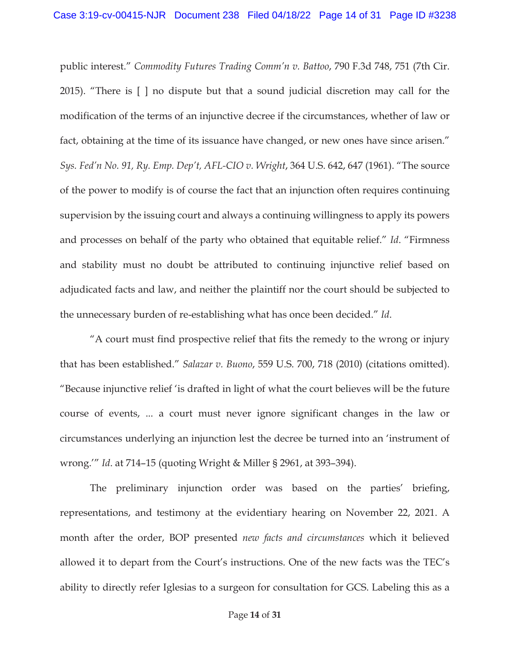public interest." *Commodity Futures Trading Comm'n v. Battoo*, 790 F.3d 748, 751 (7th Cir. 2015). "There is [ ] no dispute but that a sound judicial discretion may call for the modification of the terms of an injunctive decree if the circumstances, whether of law or fact, obtaining at the time of its issuance have changed, or new ones have since arisen." *Sys. Fed'n No. 91, Ry. Emp. Dep't, AFL-CIO v. Wright*, 364 U.S. 642, 647 (1961). "The source of the power to modify is of course the fact that an injunction often requires continuing supervision by the issuing court and always a continuing willingness to apply its powers and processes on behalf of the party who obtained that equitable relief." *Id*. "Firmness and stability must no doubt be attributed to continuing injunctive relief based on adjudicated facts and law, and neither the plaintiff nor the court should be subjected to the unnecessary burden of re-establishing what has once been decided." *Id*.

"A court must find prospective relief that fits the remedy to the wrong or injury that has been established." *Salazar v. Buono*, 559 U.S. 700, 718 (2010) (citations omitted). "Because injunctive relief 'is drafted in light of what the court believes will be the future course of events, ... a court must never ignore significant changes in the law or circumstances underlying an injunction lest the decree be turned into an 'instrument of wrong.'" *Id*. at 714–15 (quoting Wright & Miller § 2961, at 393–394).

The preliminary injunction order was based on the parties' briefing, representations, and testimony at the evidentiary hearing on November 22, 2021. A month after the order, BOP presented *new facts and circumstances* which it believed allowed it to depart from the Court's instructions. One of the new facts was the TEC's ability to directly refer Iglesias to a surgeon for consultation for GCS. Labeling this as a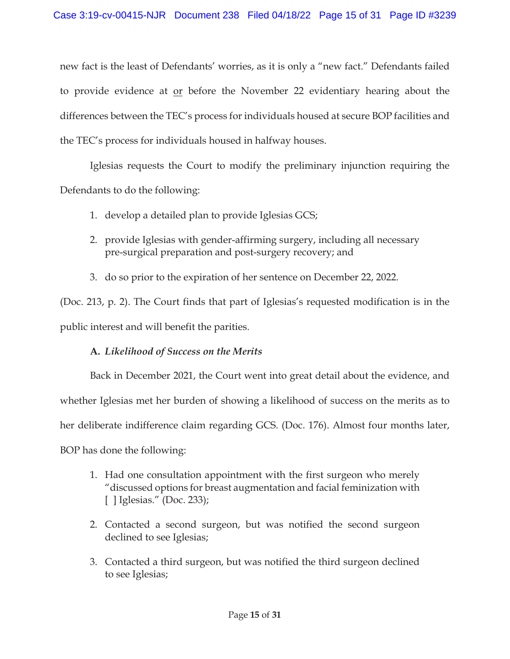new fact is the least of Defendants' worries, as it is only a "new fact." Defendants failed to provide evidence at or before the November 22 evidentiary hearing about the differences between the TEC's process for individuals housed at secure BOP facilities and the TEC's process for individuals housed in halfway houses.

Iglesias requests the Court to modify the preliminary injunction requiring the Defendants to do the following:

- 1. develop a detailed plan to provide Iglesias GCS;
- 2. provide Iglesias with gender-affirming surgery, including all necessary pre-surgical preparation and post-surgery recovery; and
- 3. do so prior to the expiration of her sentence on December 22, 2022.

(Doc. 213, p. 2). The Court finds that part of Iglesias's requested modification is in the public interest and will benefit the parities.

## **A.** *Likelihood of Success on the Merits*

Back in December 2021, the Court went into great detail about the evidence, and whether Iglesias met her burden of showing a likelihood of success on the merits as to her deliberate indifference claim regarding GCS. (Doc. 176). Almost four months later, BOP has done the following:

- 1. Had one consultation appointment with the first surgeon who merely "discussed options for breast augmentation and facial feminization with [ ] Iglesias." (Doc. 233);
- 2. Contacted a second surgeon, but was notified the second surgeon declined to see Iglesias;
- 3. Contacted a third surgeon, but was notified the third surgeon declined to see Iglesias;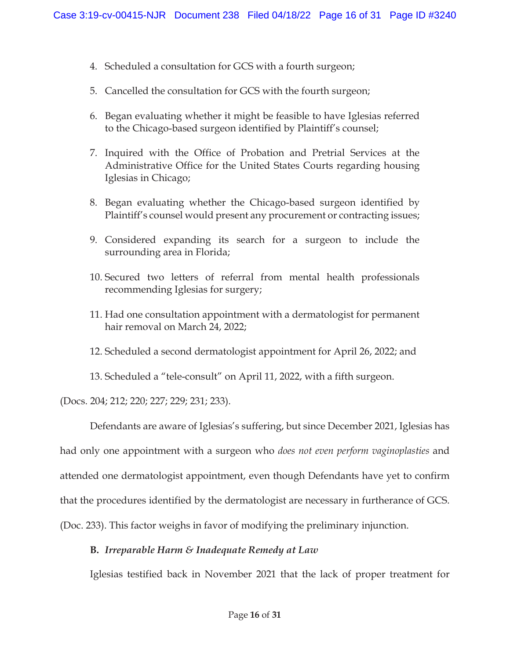- 4. Scheduled a consultation for GCS with a fourth surgeon;
- 5. Cancelled the consultation for GCS with the fourth surgeon;
- 6. Began evaluating whether it might be feasible to have Iglesias referred to the Chicago-based surgeon identified by Plaintiff's counsel;
- 7. Inquired with the Office of Probation and Pretrial Services at the Administrative Office for the United States Courts regarding housing Iglesias in Chicago;
- 8. Began evaluating whether the Chicago-based surgeon identified by Plaintiff's counsel would present any procurement or contracting issues;
- 9. Considered expanding its search for a surgeon to include the surrounding area in Florida;
- 10. Secured two letters of referral from mental health professionals recommending Iglesias for surgery;
- 11. Had one consultation appointment with a dermatologist for permanent hair removal on March 24, 2022;
- 12. Scheduled a second dermatologist appointment for April 26, 2022; and
- 13. Scheduled a "tele-consult" on April 11, 2022, with a fifth surgeon.

(Docs. 204; 212; 220; 227; 229; 231; 233).

Defendants are aware of Iglesias's suffering, but since December 2021, Iglesias has had only one appointment with a surgeon who *does not even perform vaginoplasties* and attended one dermatologist appointment, even though Defendants have yet to confirm that the procedures identified by the dermatologist are necessary in furtherance of GCS. (Doc. 233). This factor weighs in favor of modifying the preliminary injunction.

### **B.** *Irreparable Harm & Inadequate Remedy at Law*

Iglesias testified back in November 2021 that the lack of proper treatment for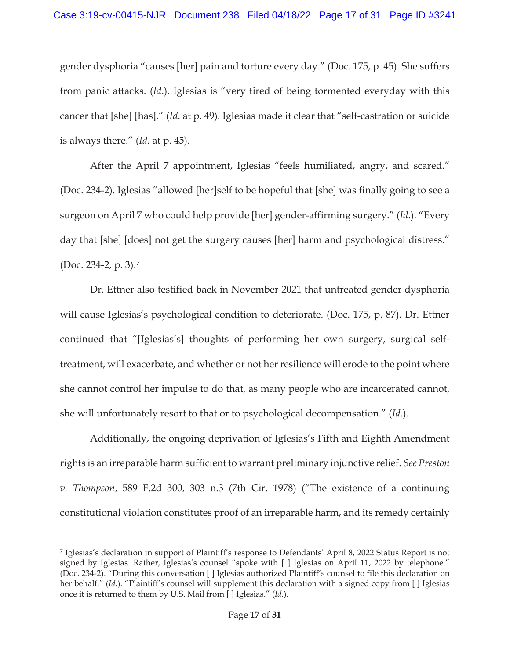gender dysphoria "causes [her] pain and torture every day." (Doc. 175, p. 45). She suffers from panic attacks. (*Id*.). Iglesias is "very tired of being tormented everyday with this cancer that [she] [has]." (*Id*. at p. 49). Iglesias made it clear that "self-castration or suicide is always there." (*Id*. at p. 45).

After the April 7 appointment, Iglesias "feels humiliated, angry, and scared." (Doc. 234-2). Iglesias "allowed [her]self to be hopeful that [she] was finally going to see a surgeon on April 7 who could help provide [her] gender-affirming surgery." (*Id*.). "Every day that [she] [does] not get the surgery causes [her] harm and psychological distress." (Doc. 234-2, p. 3).7

Dr. Ettner also testified back in November 2021 that untreated gender dysphoria will cause Iglesias's psychological condition to deteriorate. (Doc. 175, p. 87). Dr. Ettner continued that "[Iglesias's] thoughts of performing her own surgery, surgical selftreatment, will exacerbate, and whether or not her resilience will erode to the point where she cannot control her impulse to do that, as many people who are incarcerated cannot, she will unfortunately resort to that or to psychological decompensation." (*Id*.).

Additionally, the ongoing deprivation of Iglesias's Fifth and Eighth Amendment rights is an irreparable harm sufficient to warrant preliminary injunctive relief. *See Preston v. Thompson*, 589 F.2d 300, 303 n.3 (7th Cir. 1978) ("The existence of a continuing constitutional violation constitutes proof of an irreparable harm, and its remedy certainly

<sup>7</sup> Iglesias's declaration in support of Plaintiff's response to Defendants' April 8, 2022 Status Report is not signed by Iglesias. Rather, Iglesias's counsel "spoke with [ ] Iglesias on April 11, 2022 by telephone." (Doc. 234-2). "During this conversation [ ] Iglesias authorized Plaintiff's counsel to file this declaration on her behalf." (*Id.*). "Plaintiff's counsel will supplement this declaration with a signed copy from [ ] Iglesias once it is returned to them by U.S. Mail from [ ] Iglesias." (*Id*.).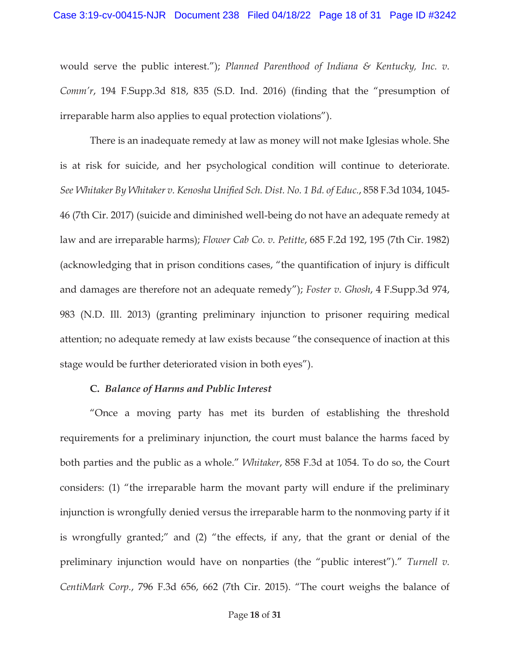would serve the public interest."); *Planned Parenthood of Indiana & Kentucky, Inc. v. Comm'r*, 194 F.Supp.3d 818, 835 (S.D. Ind. 2016) (finding that the "presumption of irreparable harm also applies to equal protection violations").

There is an inadequate remedy at law as money will not make Iglesias whole. She is at risk for suicide, and her psychological condition will continue to deteriorate. *See Whitaker By Whitaker v. Kenosha Unified Sch. Dist. No. 1 Bd. of Educ.*, 858 F.3d 1034, 1045- 46 (7th Cir. 2017) (suicide and diminished well-being do not have an adequate remedy at law and are irreparable harms); *Flower Cab Co. v. Petitte*, 685 F.2d 192, 195 (7th Cir. 1982) (acknowledging that in prison conditions cases, "the quantification of injury is difficult and damages are therefore not an adequate remedy"); *Foster v. Ghosh*, 4 F.Supp.3d 974, 983 (N.D. Ill. 2013) (granting preliminary injunction to prisoner requiring medical attention; no adequate remedy at law exists because "the consequence of inaction at this stage would be further deteriorated vision in both eyes").

#### **C.** *Balance of Harms and Public Interest*

"Once a moving party has met its burden of establishing the threshold requirements for a preliminary injunction, the court must balance the harms faced by both parties and the public as a whole." *Whitaker*, 858 F.3d at 1054. To do so, the Court considers: (1) "the irreparable harm the movant party will endure if the preliminary injunction is wrongfully denied versus the irreparable harm to the nonmoving party if it is wrongfully granted;" and (2) "the effects, if any, that the grant or denial of the preliminary injunction would have on nonparties (the "public interest")." *Turnell v. CentiMark Corp.*, 796 F.3d 656, 662 (7th Cir. 2015). "The court weighs the balance of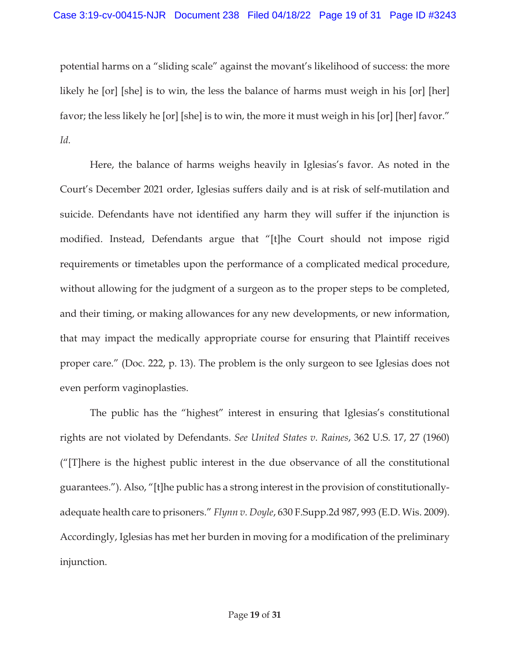potential harms on a "sliding scale" against the movant's likelihood of success: the more likely he [or] [she] is to win, the less the balance of harms must weigh in his [or] [her] favor; the less likely he [or] [she] is to win, the more it must weigh in his [or] [her] favor." *Id.*

Here, the balance of harms weighs heavily in Iglesias's favor. As noted in the Court's December 2021 order, Iglesias suffers daily and is at risk of self-mutilation and suicide. Defendants have not identified any harm they will suffer if the injunction is modified. Instead, Defendants argue that "[t]he Court should not impose rigid requirements or timetables upon the performance of a complicated medical procedure, without allowing for the judgment of a surgeon as to the proper steps to be completed, and their timing, or making allowances for any new developments, or new information, that may impact the medically appropriate course for ensuring that Plaintiff receives proper care." (Doc. 222, p. 13). The problem is the only surgeon to see Iglesias does not even perform vaginoplasties.

The public has the "highest" interest in ensuring that Iglesias's constitutional rights are not violated by Defendants. *See United States v. Raines*, 362 U.S. 17, 27 (1960) ("[T]here is the highest public interest in the due observance of all the constitutional guarantees."). Also, "[t]he public has a strong interest in the provision of constitutionallyadequate health care to prisoners." *Flynn v. Doyle*, 630 F.Supp.2d 987, 993 (E.D. Wis. 2009). Accordingly, Iglesias has met her burden in moving for a modification of the preliminary injunction.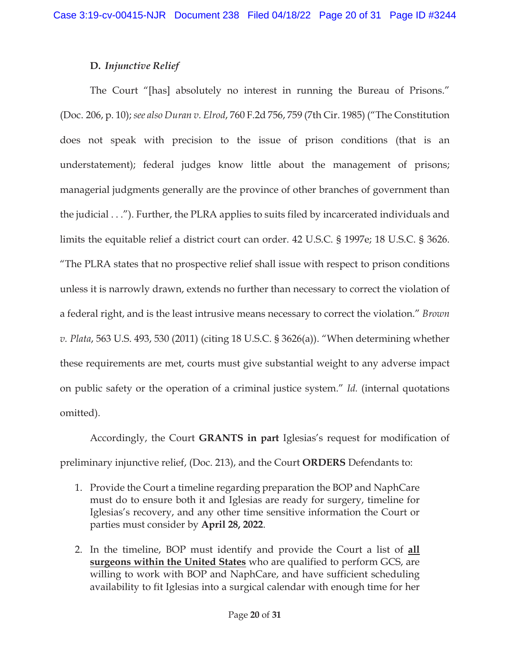## **D.** *Injunctive Relief*

The Court "[has] absolutely no interest in running the Bureau of Prisons." (Doc. 206, p. 10); *see also Duran v. Elrod*, 760 F.2d 756, 759 (7th Cir. 1985) ("The Constitution does not speak with precision to the issue of prison conditions (that is an understatement); federal judges know little about the management of prisons; managerial judgments generally are the province of other branches of government than the judicial . . ."). Further, the PLRA applies to suits filed by incarcerated individuals and limits the equitable relief a district court can order. 42 U.S.C. § 1997e; 18 U.S.C. § 3626. "The PLRA states that no prospective relief shall issue with respect to prison conditions unless it is narrowly drawn, extends no further than necessary to correct the violation of a federal right, and is the least intrusive means necessary to correct the violation." *Brown v. Plata*, 563 U.S. 493, 530 (2011) (citing 18 U.S.C. § 3626(a)). "When determining whether these requirements are met, courts must give substantial weight to any adverse impact on public safety or the operation of a criminal justice system." *Id.* (internal quotations omitted).

Accordingly, the Court **GRANTS in part** Iglesias's request for modification of preliminary injunctive relief, (Doc. 213), and the Court **ORDERS** Defendants to:

- 1. Provide the Court a timeline regarding preparation the BOP and NaphCare must do to ensure both it and Iglesias are ready for surgery, timeline for Iglesias's recovery, and any other time sensitive information the Court or parties must consider by **April 28, 2022**.
- 2. In the timeline, BOP must identify and provide the Court a list of **all surgeons within the United States** who are qualified to perform GCS, are willing to work with BOP and NaphCare, and have sufficient scheduling availability to fit Iglesias into a surgical calendar with enough time for her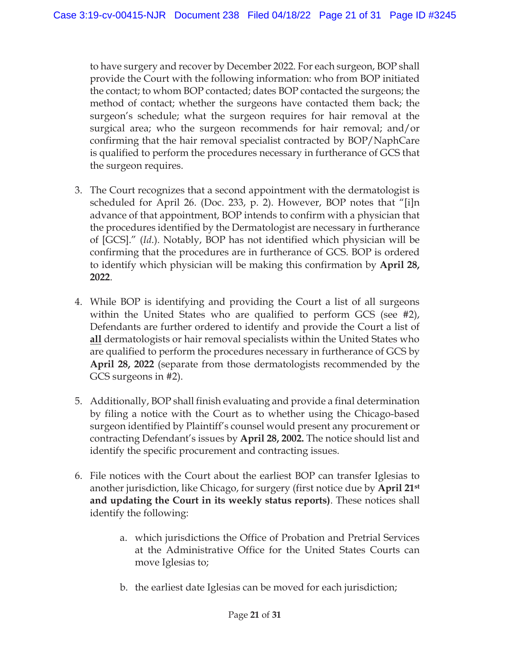to have surgery and recover by December 2022. For each surgeon, BOP shall provide the Court with the following information: who from BOP initiated the contact; to whom BOP contacted; dates BOP contacted the surgeons; the method of contact; whether the surgeons have contacted them back; the surgeon's schedule; what the surgeon requires for hair removal at the surgical area; who the surgeon recommends for hair removal; and/or confirming that the hair removal specialist contracted by BOP/NaphCare is qualified to perform the procedures necessary in furtherance of GCS that the surgeon requires.

- 3. The Court recognizes that a second appointment with the dermatologist is scheduled for April 26. (Doc. 233, p. 2). However, BOP notes that "[i]n advance of that appointment, BOP intends to confirm with a physician that the procedures identified by the Dermatologist are necessary in furtherance of [GCS]." (*Id*.). Notably, BOP has not identified which physician will be confirming that the procedures are in furtherance of GCS. BOP is ordered to identify which physician will be making this confirmation by **April 28, 2022**.
- 4. While BOP is identifying and providing the Court a list of all surgeons within the United States who are qualified to perform GCS (see #2), Defendants are further ordered to identify and provide the Court a list of **all** dermatologists or hair removal specialists within the United States who are qualified to perform the procedures necessary in furtherance of GCS by **April 28, 2022** (separate from those dermatologists recommended by the GCS surgeons in #2).
- 5. Additionally, BOP shall finish evaluating and provide a final determination by filing a notice with the Court as to whether using the Chicago-based surgeon identified by Plaintiff's counsel would present any procurement or contracting Defendant's issues by **April 28, 2002.** The notice should list and identify the specific procurement and contracting issues.
- 6. File notices with the Court about the earliest BOP can transfer Iglesias to another jurisdiction, like Chicago, for surgery (first notice due by **April 21st and updating the Court in its weekly status reports)**. These notices shall identify the following:
	- a. which jurisdictions the Office of Probation and Pretrial Services at the Administrative Office for the United States Courts can move Iglesias to;
	- b. the earliest date Iglesias can be moved for each jurisdiction;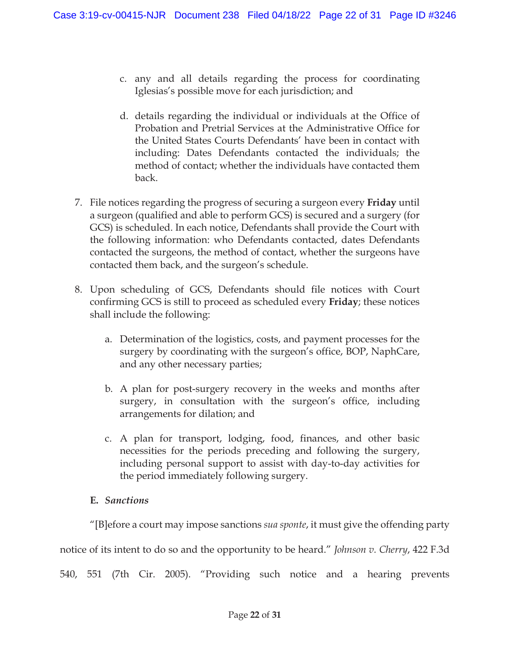- c. any and all details regarding the process for coordinating Iglesias's possible move for each jurisdiction; and
- d. details regarding the individual or individuals at the Office of Probation and Pretrial Services at the Administrative Office for the United States Courts Defendants' have been in contact with including: Dates Defendants contacted the individuals; the method of contact; whether the individuals have contacted them back.
- 7. File notices regarding the progress of securing a surgeon every **Friday** until a surgeon (qualified and able to perform GCS) is secured and a surgery (for GCS) is scheduled. In each notice, Defendants shall provide the Court with the following information: who Defendants contacted, dates Defendants contacted the surgeons, the method of contact, whether the surgeons have contacted them back, and the surgeon's schedule.
- 8. Upon scheduling of GCS, Defendants should file notices with Court confirming GCS is still to proceed as scheduled every **Friday**; these notices shall include the following:
	- a. Determination of the logistics, costs, and payment processes for the surgery by coordinating with the surgeon's office, BOP, NaphCare, and any other necessary parties;
	- b. A plan for post-surgery recovery in the weeks and months after surgery, in consultation with the surgeon's office, including arrangements for dilation; and
	- c. A plan for transport, lodging, food, finances, and other basic necessities for the periods preceding and following the surgery, including personal support to assist with day-to-day activities for the period immediately following surgery.

### **E.** *Sanctions*

"[B]efore a court may impose sanctions *sua sponte*, it must give the offending party notice of its intent to do so and the opportunity to be heard." *Johnson v. Cherry*, 422 F.3d 540, 551 (7th Cir. 2005). "Providing such notice and a hearing prevents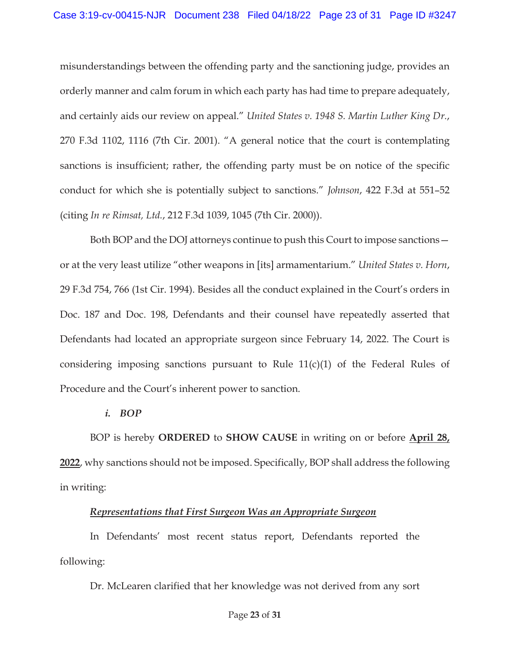misunderstandings between the offending party and the sanctioning judge, provides an orderly manner and calm forum in which each party has had time to prepare adequately, and certainly aids our review on appeal." *United States v. 1948 S. Martin Luther King Dr.*, 270 F.3d 1102, 1116 (7th Cir. 2001). "A general notice that the court is contemplating sanctions is insufficient; rather, the offending party must be on notice of the specific conduct for which she is potentially subject to sanctions." *Johnson*, 422 F.3d at 551–52 (citing *In re Rimsat, Ltd.*, 212 F.3d 1039, 1045 (7th Cir. 2000)).

Both BOP and the DOJ attorneys continue to push this Court to impose sanctions or at the very least utilize "other weapons in [its] armamentarium." *United States v. Horn*, 29 F.3d 754, 766 (1st Cir. 1994). Besides all the conduct explained in the Court's orders in Doc. 187 and Doc. 198, Defendants and their counsel have repeatedly asserted that Defendants had located an appropriate surgeon since February 14, 2022. The Court is considering imposing sanctions pursuant to Rule  $11(c)(1)$  of the Federal Rules of Procedure and the Court's inherent power to sanction.

#### *i. BOP*

BOP is hereby **ORDERED** to **SHOW CAUSE** in writing on or before **April 28, 2022**, why sanctions should not be imposed. Specifically, BOP shall address the following in writing:

### *Representations that First Surgeon Was an Appropriate Surgeon*

In Defendants' most recent status report, Defendants reported the following:

Dr. McLearen clarified that her knowledge was not derived from any sort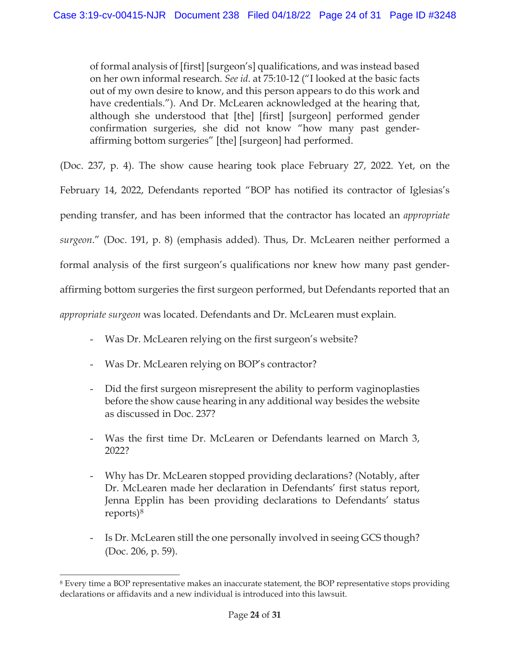of formal analysis of [first] [surgeon's] qualifications, and was instead based on her own informal research. *See id*. at 75:10-12 ("I looked at the basic facts out of my own desire to know, and this person appears to do this work and have credentials."). And Dr. McLearen acknowledged at the hearing that, although she understood that [the] [first] [surgeon] performed gender confirmation surgeries, she did not know "how many past genderaffirming bottom surgeries" [the] [surgeon] had performed.

(Doc. 237, p. 4). The show cause hearing took place February 27, 2022. Yet, on the

February 14, 2022, Defendants reported "BOP has notified its contractor of Iglesias's

pending transfer, and has been informed that the contractor has located an *appropriate* 

*surgeon*." (Doc. 191, p. 8) (emphasis added). Thus, Dr. McLearen neither performed a

formal analysis of the first surgeon's qualifications nor knew how many past gender-

affirming bottom surgeries the first surgeon performed, but Defendants reported that an

*appropriate surgeon* was located. Defendants and Dr. McLearen must explain.

- Was Dr. McLearen relying on the first surgeon's website?
- Was Dr. McLearen relying on BOP's contractor?
- Did the first surgeon misrepresent the ability to perform vaginoplasties before the show cause hearing in any additional way besides the website as discussed in Doc. 237?
- Was the first time Dr. McLearen or Defendants learned on March 3, 2022?
- Why has Dr. McLearen stopped providing declarations? (Notably, after Dr. McLearen made her declaration in Defendants' first status report, Jenna Epplin has been providing declarations to Defendants' status reports)8
- Is Dr. McLearen still the one personally involved in seeing GCS though? (Doc. 206, p. 59).

<sup>8</sup> Every time a BOP representative makes an inaccurate statement, the BOP representative stops providing declarations or affidavits and a new individual is introduced into this lawsuit.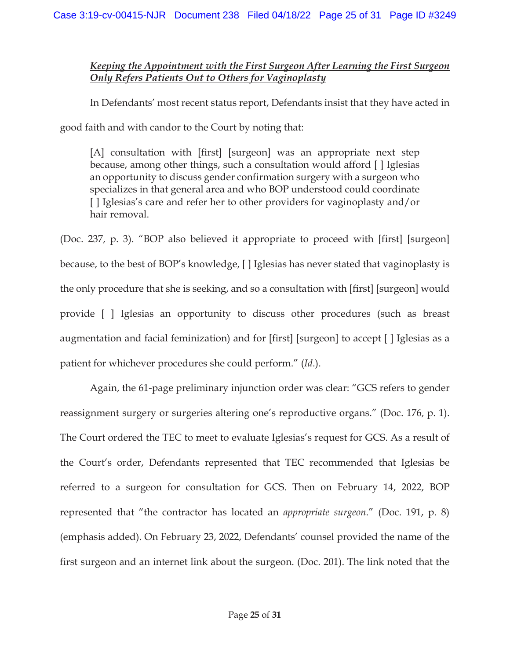### *Keeping the Appointment with the First Surgeon After Learning the First Surgeon Only Refers Patients Out to Others for Vaginoplasty*

In Defendants' most recent status report, Defendants insist that they have acted in

good faith and with candor to the Court by noting that:

[A] consultation with [first] [surgeon] was an appropriate next step because, among other things, such a consultation would afford [ ] Iglesias an opportunity to discuss gender confirmation surgery with a surgeon who specializes in that general area and who BOP understood could coordinate [ ] Iglesias's care and refer her to other providers for vaginoplasty and/or hair removal.

(Doc. 237, p. 3). "BOP also believed it appropriate to proceed with [first] [surgeon] because, to the best of BOP's knowledge, [ ] Iglesias has never stated that vaginoplasty is the only procedure that she is seeking, and so a consultation with [first] [surgeon] would provide [ ] Iglesias an opportunity to discuss other procedures (such as breast augmentation and facial feminization) and for [first] [surgeon] to accept [ ] Iglesias as a patient for whichever procedures she could perform." (*Id*.).

Again, the 61-page preliminary injunction order was clear: "GCS refers to gender reassignment surgery or surgeries altering one's reproductive organs." (Doc. 176, p. 1). The Court ordered the TEC to meet to evaluate Iglesias's request for GCS. As a result of the Court's order, Defendants represented that TEC recommended that Iglesias be referred to a surgeon for consultation for GCS. Then on February 14, 2022, BOP represented that "the contractor has located an *appropriate surgeon*." (Doc. 191, p. 8) (emphasis added). On February 23, 2022, Defendants' counsel provided the name of the first surgeon and an internet link about the surgeon. (Doc. 201). The link noted that the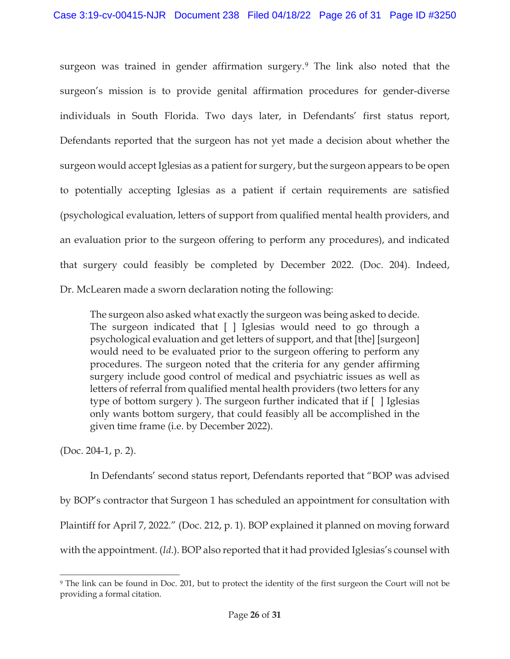surgeon was trained in gender affirmation surgery.<sup>9</sup> The link also noted that the surgeon's mission is to provide genital affirmation procedures for gender-diverse individuals in South Florida. Two days later, in Defendants' first status report, Defendants reported that the surgeon has not yet made a decision about whether the surgeon would accept Iglesias as a patient for surgery, but the surgeon appears to be open to potentially accepting Iglesias as a patient if certain requirements are satisfied (psychological evaluation, letters of support from qualified mental health providers, and an evaluation prior to the surgeon offering to perform any procedures), and indicated that surgery could feasibly be completed by December 2022. (Doc. 204). Indeed, Dr. McLearen made a sworn declaration noting the following:

The surgeon also asked what exactly the surgeon was being asked to decide. The surgeon indicated that [ ] Iglesias would need to go through a psychological evaluation and get letters of support, and that [the] [surgeon] would need to be evaluated prior to the surgeon offering to perform any procedures. The surgeon noted that the criteria for any gender affirming surgery include good control of medical and psychiatric issues as well as letters of referral from qualified mental health providers (two letters for any type of bottom surgery ). The surgeon further indicated that if [ ] Iglesias only wants bottom surgery, that could feasibly all be accomplished in the given time frame (i.e. by December 2022).

(Doc. 204-1, p. 2).

 In Defendants' second status report, Defendants reported that "BOP was advised by BOP's contractor that Surgeon 1 has scheduled an appointment for consultation with Plaintiff for April 7, 2022." (Doc. 212, p. 1). BOP explained it planned on moving forward with the appointment. (*Id*.). BOP also reported that it had provided Iglesias's counsel with

<sup>9</sup> The link can be found in Doc. 201, but to protect the identity of the first surgeon the Court will not be providing a formal citation.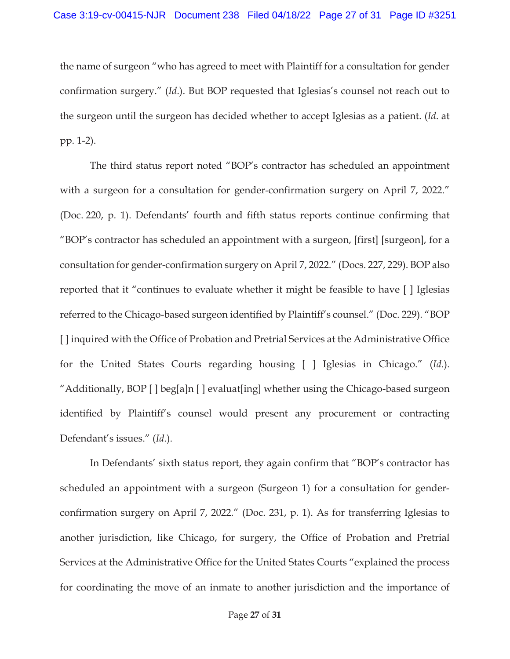the name of surgeon "who has agreed to meet with Plaintiff for a consultation for gender confirmation surgery." (*Id*.). But BOP requested that Iglesias's counsel not reach out to the surgeon until the surgeon has decided whether to accept Iglesias as a patient. (*Id*. at pp. 1-2).

 The third status report noted "BOP's contractor has scheduled an appointment with a surgeon for a consultation for gender-confirmation surgery on April 7, 2022." (Doc. 220, p. 1). Defendants' fourth and fifth status reports continue confirming that "BOP's contractor has scheduled an appointment with a surgeon, [first] [surgeon], for a consultation for gender-confirmation surgery on April 7, 2022." (Docs. 227, 229). BOP also reported that it "continues to evaluate whether it might be feasible to have [ ] Iglesias referred to the Chicago-based surgeon identified by Plaintiff's counsel." (Doc. 229). "BOP [ ] inquired with the Office of Probation and Pretrial Services at the Administrative Office for the United States Courts regarding housing [ ] Iglesias in Chicago." (*Id*.). "Additionally, BOP [ ] beg[a]n [ ] evaluat[ing] whether using the Chicago-based surgeon identified by Plaintiff's counsel would present any procurement or contracting Defendant's issues." (*Id*.).

 In Defendants' sixth status report, they again confirm that "BOP's contractor has scheduled an appointment with a surgeon (Surgeon 1) for a consultation for genderconfirmation surgery on April 7, 2022." (Doc. 231, p. 1). As for transferring Iglesias to another jurisdiction, like Chicago, for surgery, the Office of Probation and Pretrial Services at the Administrative Office for the United States Courts "explained the process for coordinating the move of an inmate to another jurisdiction and the importance of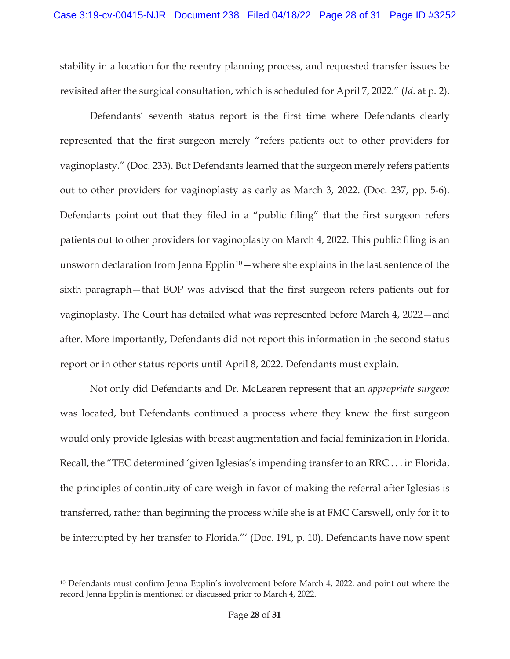stability in a location for the reentry planning process, and requested transfer issues be revisited after the surgical consultation, which is scheduled for April 7, 2022." (*Id*. at p. 2).

 Defendants' seventh status report is the first time where Defendants clearly represented that the first surgeon merely "refers patients out to other providers for vaginoplasty." (Doc. 233). But Defendants learned that the surgeon merely refers patients out to other providers for vaginoplasty as early as March 3, 2022. (Doc. 237, pp. 5-6). Defendants point out that they filed in a "public filing" that the first surgeon refers patients out to other providers for vaginoplasty on March 4, 2022. This public filing is an unsworn declaration from Jenna Epplin<sup>10</sup> — where she explains in the last sentence of the sixth paragraph—that BOP was advised that the first surgeon refers patients out for vaginoplasty. The Court has detailed what was represented before March 4, 2022—and after. More importantly, Defendants did not report this information in the second status report or in other status reports until April 8, 2022. Defendants must explain.

Not only did Defendants and Dr. McLearen represent that an *appropriate surgeon* was located, but Defendants continued a process where they knew the first surgeon would only provide Iglesias with breast augmentation and facial feminization in Florida. Recall, the "TEC determined 'given Iglesias's impending transfer to an RRC . . . in Florida, the principles of continuity of care weigh in favor of making the referral after Iglesias is transferred, rather than beginning the process while she is at FMC Carswell, only for it to be interrupted by her transfer to Florida."' (Doc. 191, p. 10). Defendants have now spent

<sup>10</sup> Defendants must confirm Jenna Epplin's involvement before March 4, 2022, and point out where the record Jenna Epplin is mentioned or discussed prior to March 4, 2022.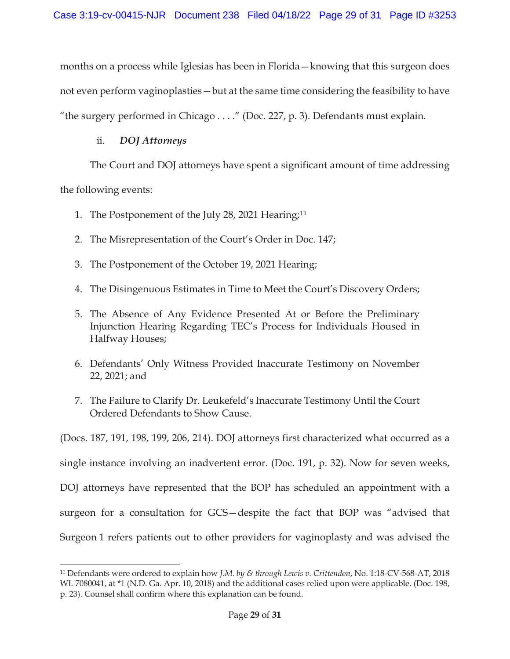months on a process while Iglesias has been in Florida—knowing that this surgeon does not even perform vaginoplasties—but at the same time considering the feasibility to have "the surgery performed in Chicago . . . ." (Doc. 227, p. 3). Defendants must explain.

### ii. *DOJ Attorneys*

The Court and DOJ attorneys have spent a significant amount of time addressing

the following events:

- 1. The Postponement of the July 28, 2021 Hearing;<sup>11</sup>
- 2. The Misrepresentation of the Court's Order in Doc. 147;
- 3. The Postponement of the October 19, 2021 Hearing;
- 4. The Disingenuous Estimates in Time to Meet the Court's Discovery Orders;
- 5. The Absence of Any Evidence Presented At or Before the Preliminary Injunction Hearing Regarding TEC's Process for Individuals Housed in Halfway Houses;
- 6. Defendants' Only Witness Provided Inaccurate Testimony on November 22, 2021; and
- 7. The Failure to Clarify Dr. Leukefeld's Inaccurate Testimony Until the Court Ordered Defendants to Show Cause.

(Docs. 187, 191, 198, 199, 206, 214). DOJ attorneys first characterized what occurred as a single instance involving an inadvertent error. (Doc. 191, p. 32). Now for seven weeks, DOJ attorneys have represented that the BOP has scheduled an appointment with a surgeon for a consultation for GCS—despite the fact that BOP was "advised that Surgeon 1 refers patients out to other providers for vaginoplasty and was advised the

<sup>11</sup> Defendants were ordered to explain how *J.M. by & through Lewis v. Crittendon*, No. 1:18-CV-568-AT, 2018 WL 7080041, at \*1 (N.D. Ga. Apr. 10, 2018) and the additional cases relied upon were applicable. (Doc. 198, p. 23). Counsel shall confirm where this explanation can be found.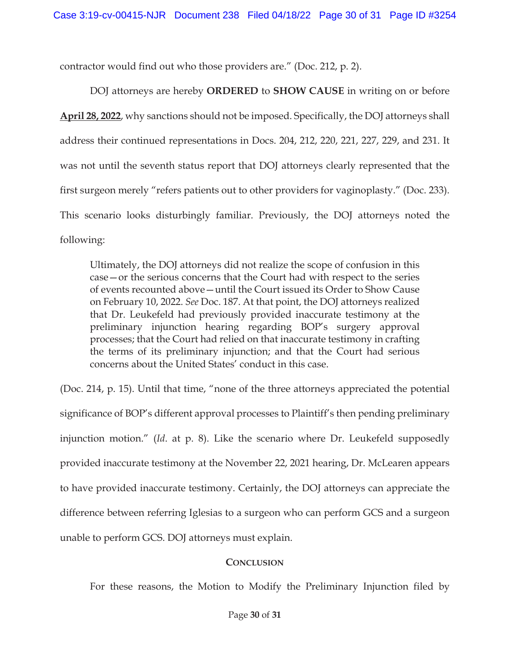contractor would find out who those providers are." (Doc. 212, p. 2).

DOJ attorneys are hereby **ORDERED** to **SHOW CAUSE** in writing on or before **April 28, 2022**, why sanctions should not be imposed. Specifically, the DOJ attorneys shall address their continued representations in Docs. 204, 212, 220, 221, 227, 229, and 231. It was not until the seventh status report that DOJ attorneys clearly represented that the first surgeon merely "refers patients out to other providers for vaginoplasty." (Doc. 233). This scenario looks disturbingly familiar. Previously, the DOJ attorneys noted the following:

Ultimately, the DOJ attorneys did not realize the scope of confusion in this case—or the serious concerns that the Court had with respect to the series of events recounted above—until the Court issued its Order to Show Cause on February 10, 2022. *See* Doc. 187. At that point, the DOJ attorneys realized that Dr. Leukefeld had previously provided inaccurate testimony at the preliminary injunction hearing regarding BOP's surgery approval processes; that the Court had relied on that inaccurate testimony in crafting the terms of its preliminary injunction; and that the Court had serious concerns about the United States' conduct in this case.

(Doc. 214, p. 15). Until that time, "none of the three attorneys appreciated the potential significance of BOP's different approval processes to Plaintiff's then pending preliminary injunction motion." (*Id*. at p. 8). Like the scenario where Dr. Leukefeld supposedly provided inaccurate testimony at the November 22, 2021 hearing, Dr. McLearen appears to have provided inaccurate testimony. Certainly, the DOJ attorneys can appreciate the difference between referring Iglesias to a surgeon who can perform GCS and a surgeon unable to perform GCS. DOJ attorneys must explain.

### **CONCLUSION**

For these reasons, the Motion to Modify the Preliminary Injunction filed by